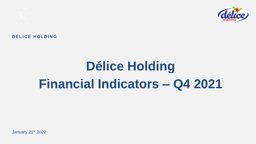

### DÉLICE HOLDING

# **Délice Holding Financial Indicators – Q4 2021**

January 21st 2022

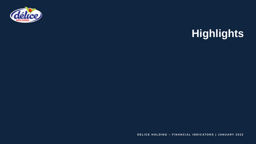

**DELICE HOLDING – FINANCIAL INDICATORS | JANUARY 2022** 

# **Highlights**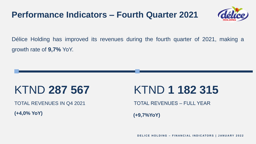Délice Holding has improved its revenues during the fourth quarter of 2021, making a growth rate of **9,7%** YoY.

TOTAL REVENUES IN Q4 2021

### KTND **287 567**

**(+4,0% YoY)**

### TOTAL REVENUES – FULL YEAR KTND **1 182 315**

**(+9,7%YoY)**

**DELICE HOLDING - FINANCIAL INDICATORS | JANUARY 2022** 





### **Performance Indicators – Fourth Quarter 2021**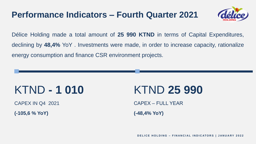Délice Holding made a total amount of **25 990 KTND** in terms of Capital Expenditures, declining by **48,4%** YoY . Investments were made, in order to increase capacity, rationalize energy consumption and finance CSR environment projects.

CAPEX IN Q4 2021

## KTND **- 1 010**

**(-105,6 % YoY)**

CAPEX – FULL YEAR **(-48,4% YoY)**

**DELICE HOLDING - FINANCIAL INDICATORS | JANUARY 2022** 



# KTND **25 990**



- 
- 

### **Performance Indicators – Fourth Quarter 2021**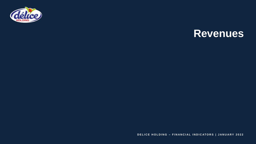

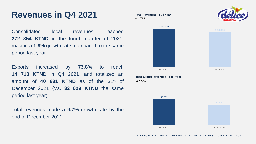Consolidated local revenues, reached **272 854 KTND** in the fourth quarter of 2021, making a **1,8%** growth rate, compared to the same period last year.

Exports increased by **73,8%** to reach **14 713 KTND** in Q4 2021, and totalized an amount of **40 881 KTND** as of the 31st of December 2021 (Vs. **32 629 KTND** the same period last year).

Total revenues made a **9,7%** growth rate by the end of December 2021.



### **Revenues in Q4 2021 Total Revenues – Full Year**

*In KTND*

**Total Export Revenues – Full Year** *In KTND*





31.12.2021 31.12.2020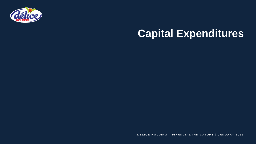

# **Capital Expenditures**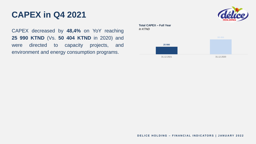CAPEX decreased by **48,4%** on YoY reaching **25 990 KTND** (Vs. **50 404 KTND** in 2020) and were directed to capacity projects, and environment and energy consumption programs.

### **CAPEX in Q4 2021**

**Total CAPEX – Full Year** *In KTND*



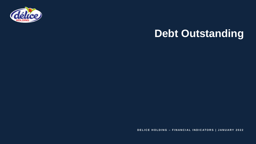



**DELICE HOLDING - FINANCIAL INDICATORS | JANUARY 2022** 

## **Debt Outstanding**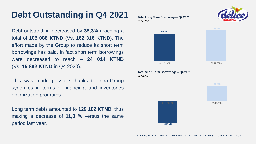Debt outstanding decreased by **35,3%** reaching a total of **105 088 KTND** (Vs. **162 316 KTND**). The effort made by the Group to reduce its short term borrowings has paid. In fact short term borrowings were decreased to reach **– 24 014 KTND** (Vs. **15 892 KTND** in Q4 2020).

This was made possible thanks to intra-Group synergies in terms of financing, and inventories optimization programs.

Long term debts amounted to **129 102 KTND**, thus making a decrease of **11,8 %** versus the same period last year.

### **Debt Outstanding in Q4 2021 Total Long Term Borrowings– Q4 2021**

*In KTND*

### **Total Short Term Borrowings – Q4 2021**

*In KTND*